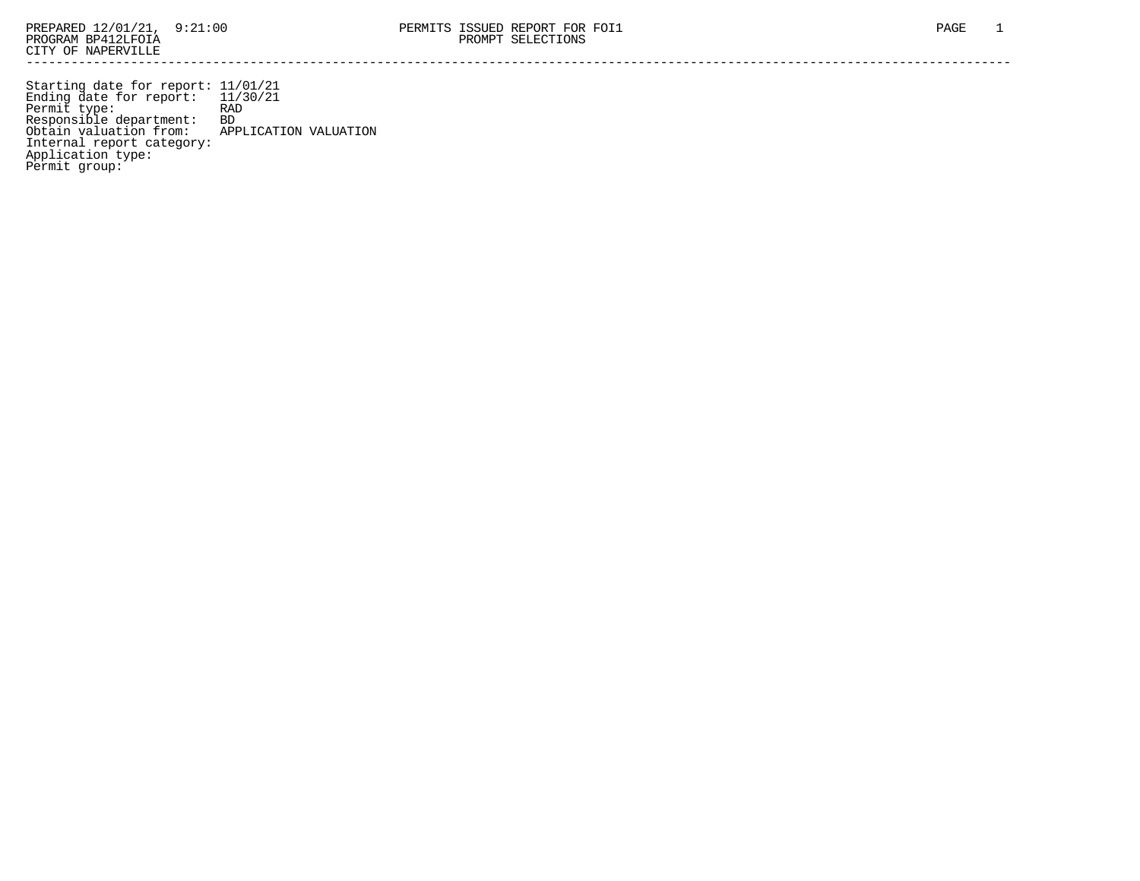Starting date for report: 11/01/21 Ending date for report: 11/30/21 Permit type: RAD Responsible department: BD Obtain valuation from: APPLICATION VALUATION Internal report category: Application type: Permit group: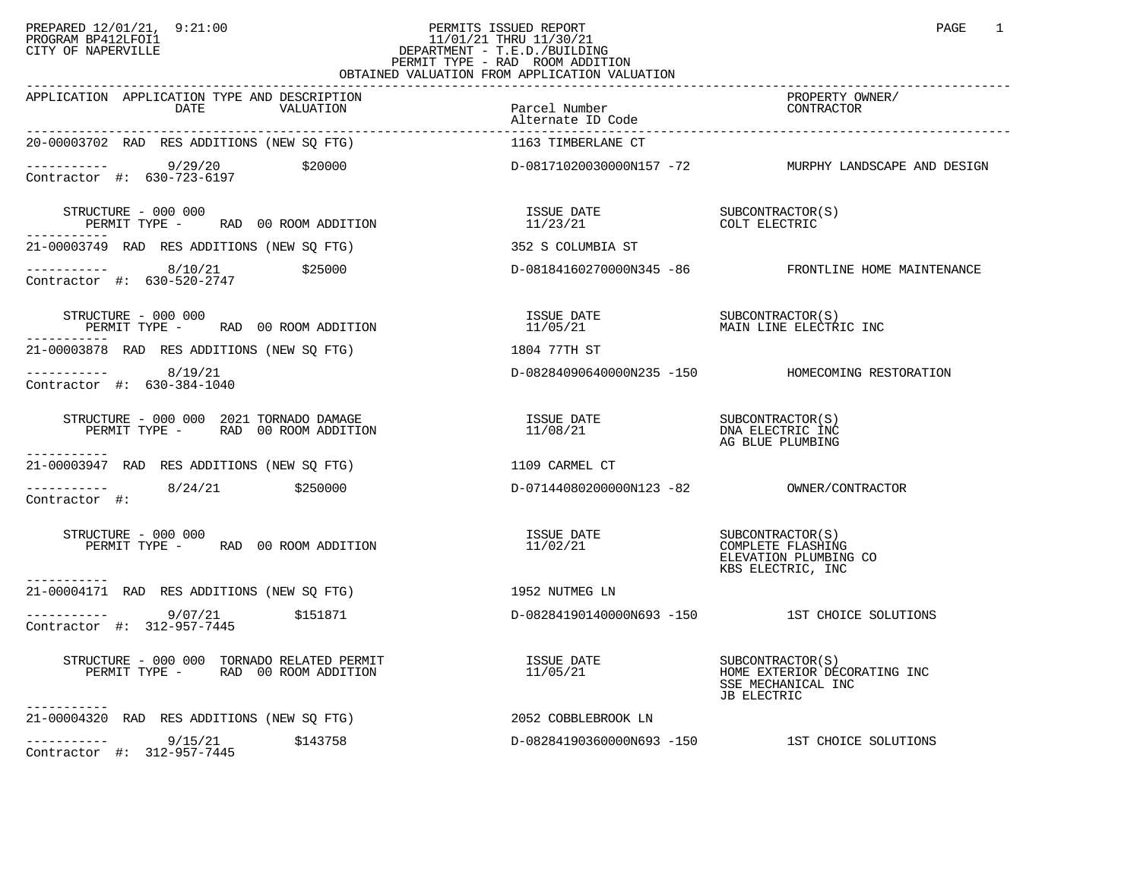## PREPARED 12/01/21, 9:21:00 PERMITS ISSUED REPORT PAGE 1 PROGRAM BP412LFOI1 11/01/21 THRU 11/30/21 CITY OF NAPERVILLE **Example 20** CITY OF NAPERVILLE PERMIT TYPE - RAD ROOM ADDITION OBTAINED VALUATION FROM APPLICATION VALUATION

| APPLICATION APPLICATION TYPE AND DESCRIPTION<br>DATE<br>VALUATION                                                                      | Parcel Number<br>Alternate ID Code                    | PROPERTY OWNER/<br>CONTRACTOR                       |
|----------------------------------------------------------------------------------------------------------------------------------------|-------------------------------------------------------|-----------------------------------------------------|
| 20-00003702 RAD RES ADDITIONS (NEW SQ FTG)                                                                                             | 1163 TIMBERLANE CT                                    |                                                     |
| ----------- 9/29/20 \$20000 \$20000 D-08171020030000N157 -72 MURPHY LANDSCAPE AND DESIGN<br>Contractor #: 630-723-6197                 |                                                       |                                                     |
| STRUCTURE - 000 000<br>PERMIT TYPE - RAD 00 ROOM ADDITION                                                                              | ISSUE DATE SUBCONTRACTOR(S)<br>11/23/21 COLT ELECTRIC |                                                     |
| 21-00003749 RAD RES ADDITIONS (NEW SQ FTG)                                                                                             | 352 S COLUMBIA ST                                     |                                                     |
| $\begin{array}{cccc}\n - & - & - & - & - - \\ \text{Contractor} & + & 630 - 520 - 2747 & \end{array}$ \$25000                          |                                                       | D-08184160270000N345 -86 FRONTLINE HOME MAINTENANCE |
| STRUCTURE - 000 000<br>RUCTURE – 000 000<br>PERMIT TYPE – RAD 00 ROOM ADDITION – 11/05/21 – THE MAIN LINE ELECTRIC INC<br>------------ |                                                       |                                                     |
| 21-00003878 RAD RES ADDITIONS (NEW SQ FTG)                                                                                             | 1804 77TH ST                                          |                                                     |
| $--------$ 8/19/21<br>Contractor #: 630-384-1040                                                                                       |                                                       | D-08284090640000N235 -150 HOMECOMING RESTORATION    |
| STRUCTURE - 000 000 2021 TORNADO DAMAGE                                                                                                |                                                       | AG BLUE PLUMBING                                    |
| -----------<br>21-00003947 RAD RES ADDITIONS (NEW SQ FTG) 1109 CARMEL CT                                                               |                                                       |                                                     |
| $\frac{1}{2}$ ----------- 8/24/21 \$250000<br>Contractor #:                                                                            |                                                       |                                                     |
| STRUCTURE - 000 000<br>PERMIT TYPE - RAD 00 ROOM ADDITION                                                                              |                                                       | ELEVATION PLUMBING CO<br>KBS ELECTRIC, INC          |
| -----------<br>21-00004171 RAD RES ADDITIONS (NEW SQ FTG)<br>1952 NUTMEG LN                                                            |                                                       |                                                     |
| ----------- 9/07/21 \$151871<br>Contractor #: 312-957-7445                                                                             |                                                       | D-08284190140000N693 -150 1ST CHOICE SOLUTIONS      |
| STRUCTURE - 000 000 TORNADO RELATED PERMIT<br>PERMIT TYPE - RAD 00 ROOM ADDITION                                                       |                                                       | SSE MECHANICAL INC<br><b>JB ELECTRIC</b>            |
| -----------<br>21-00004320 RAD RES ADDITIONS (NEW SQ FTG)                                                                              | 2052 COBBLEBROOK LN                                   |                                                     |
| $--------$ 9/15/21 \$143758<br>Contractor #: 312-957-7445                                                                              |                                                       | D-08284190360000N693 -150 1ST CHOICE SOLUTIONS      |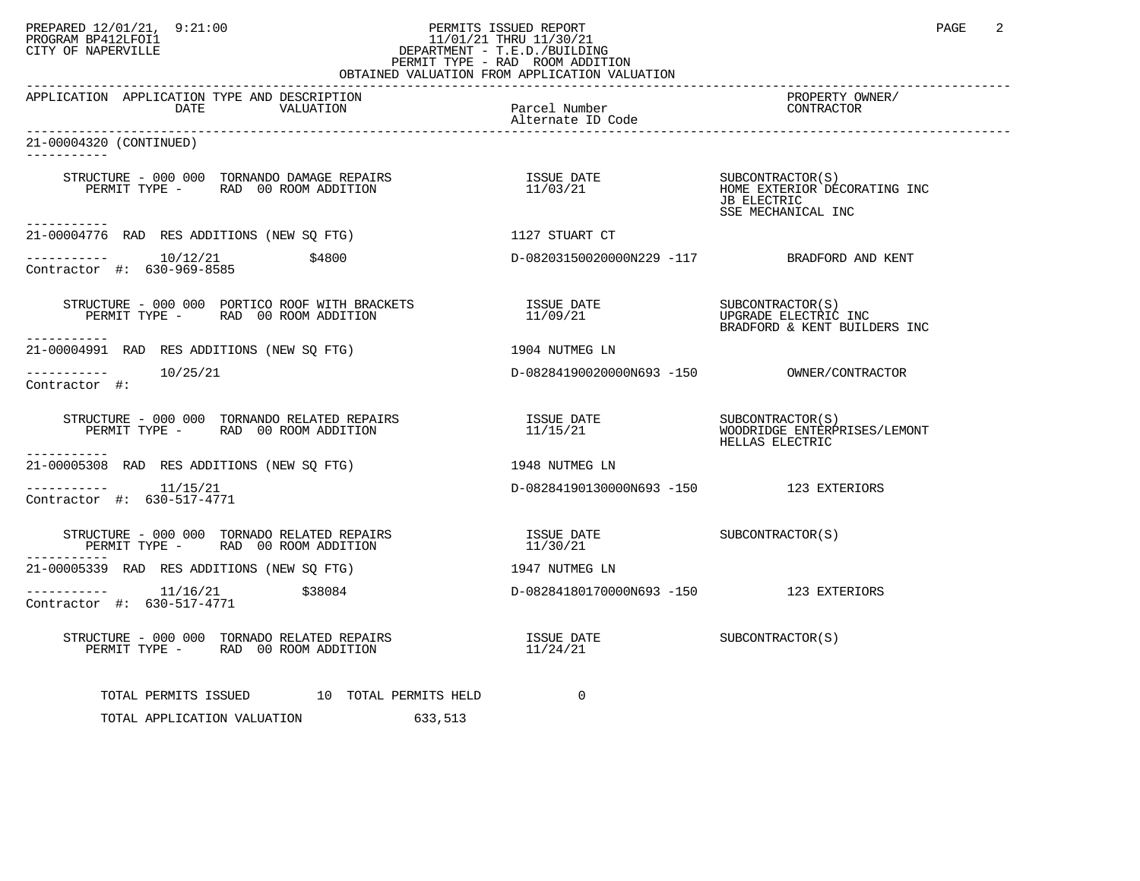## PREPARED 12/01/21, 9:21:00 PERMITS ISSUED REPORT PAGE 2 PROGRAM BP412LFOI1 11/01/21 THRU 11/30/21 CITY OF NAPERVILLE **Example 20** CITY OF NAPERVILLE PERMIT TYPE - RAD ROOM ADDITION

| OBTAINED VALUATION FROM APPLICATION VALUATION                                                                                                                                                                                                                                                                                                                                                                                                 |                                                                                                                                                  |                                   |  |  |  |  |
|-----------------------------------------------------------------------------------------------------------------------------------------------------------------------------------------------------------------------------------------------------------------------------------------------------------------------------------------------------------------------------------------------------------------------------------------------|--------------------------------------------------------------------------------------------------------------------------------------------------|-----------------------------------|--|--|--|--|
| APPLICATION APPLICATION TYPE AND DESCRIPTION<br>DATE VALUATION Parcel Number<br>DATE VALUATION PARTENTER DESCRIPTION                                                                                                                                                                                                                                                                                                                          |                                                                                                                                                  | PROPERTY OWNER/<br>CONTRACTOR     |  |  |  |  |
| 21-00004320 (CONTINUED)<br>-----------                                                                                                                                                                                                                                                                                                                                                                                                        |                                                                                                                                                  |                                   |  |  |  |  |
| $\begin{array}{cccc} \texttt{STRUCTURE} & - & 000 & 000 & \texttt{TORNANDO} & \texttt{DAMAGE} & \texttt{REPAIRS} \\ \texttt{PERMIT TYPE} & - & \texttt{RAD} & 00 & \texttt{ROM} & \texttt{ADDITION} \\ \end{array} \qquad \begin{array}{cccc} \texttt{I1/03/21} & \texttt{I23/21} & \texttt{I33/21} \\ \texttt{I1/03/21} & \texttt{I43/21} & \texttt{I53/22} \\ \end{array} \qquad \begin{array}{cccc} \texttt{SUBCONTRACTOR} (S) & \texttt{$ |                                                                                                                                                  | JB ELECTRIC<br>SSE MECHANICAL INC |  |  |  |  |
| ------------<br>21-00004776 RAD RES ADDITIONS (NEW SQ FTG)                                                                                                                                                                                                                                                                                                                                                                                    | 1127 STUART CT                                                                                                                                   |                                   |  |  |  |  |
| $--------- 10/12/21$<br>\$4800<br>Contractor #: 630-969-8585                                                                                                                                                                                                                                                                                                                                                                                  | D-08203150020000N229 -117 BRADFORD AND KENT                                                                                                      |                                   |  |  |  |  |
| -----------                                                                                                                                                                                                                                                                                                                                                                                                                                   |                                                                                                                                                  | BRADFORD & KENT BUILDERS INC      |  |  |  |  |
| 21-00004991 RAD RES ADDITIONS (NEW SQ FTG)                                                                                                                                                                                                                                                                                                                                                                                                    | 1904 NUTMEG LN                                                                                                                                   |                                   |  |  |  |  |
| Contractor #:                                                                                                                                                                                                                                                                                                                                                                                                                                 |                                                                                                                                                  |                                   |  |  |  |  |
| $\begin{array}{cccc} \texttt{STRUCTURE} & - & 000 & 000 & \texttt{TORNANDO RELATED REPAIRS} & \texttt{ISSUE} & \texttt{DATE} & \texttt{SUBCONTRACTOR(S)}\\ \texttt{PERMIT TYPE} & - & \texttt{RAD} & 00\texttt{ ROM ADDITION} & 11/15/21 & \texttt{WOODRIDGE ENTERPRISES/LEMONT} \end{array}$                                                                                                                                                 |                                                                                                                                                  | HELLAS ELECTRIC                   |  |  |  |  |
| ----------<br>21-00005308 RAD RES ADDITIONS (NEW SQ FTG) 3148 NUTMEG LN                                                                                                                                                                                                                                                                                                                                                                       |                                                                                                                                                  |                                   |  |  |  |  |
| $------- 11/15/21$<br>Contractor #: 630-517-4771                                                                                                                                                                                                                                                                                                                                                                                              | D-08284190130000N693 -150 123 EXTERIORS                                                                                                          |                                   |  |  |  |  |
|                                                                                                                                                                                                                                                                                                                                                                                                                                               | $\begin{array}{lll} \texttt{ISSUE} & \texttt{DATE} & \texttt{SUBCONTRACTOR(S)} \\ \texttt{11/30/21} & & & \texttt{SUBCONTRACTOR(S)} \end{array}$ |                                   |  |  |  |  |
| 21-00005339 RAD RES ADDITIONS (NEW SQ FTG)                                                                                                                                                                                                                                                                                                                                                                                                    | 1947 NUTMEG LN                                                                                                                                   |                                   |  |  |  |  |
| Contractor #: 630-517-4771                                                                                                                                                                                                                                                                                                                                                                                                                    |                                                                                                                                                  |                                   |  |  |  |  |
|                                                                                                                                                                                                                                                                                                                                                                                                                                               | ISSUE DATE SUBCONTRACTOR(S)<br>11/24/21                                                                                                          |                                   |  |  |  |  |
| TOTAL PERMITS ISSUED 10 TOTAL PERMITS HELD<br>TOTAL APPLICATION VALUATION<br>633,513                                                                                                                                                                                                                                                                                                                                                          | $\mathbf 0$                                                                                                                                      |                                   |  |  |  |  |